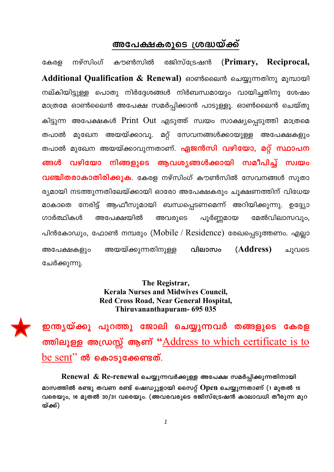### അപേക്ഷകരുടെ ശ്രദ്ധയ്ക്ക്

രജിസ്ട്രേഷൻ നഴ്സിംഗ് (Primary, Reciprocal, കൗൺസിൽ കേരള Additional Qualification & Renewal) ഓൺലൈൻ ചെയ്യുന്നതിനു മുമ്പായി നല്കിയിട്ടുള്ള പൊതു നിർദ്ദേശങ്ങൾ നിർബന്ധമായും വായിച്ചതിനു ശേഷം മാത്രമേ ഓൺലൈൻ അപേക്ഷ സമർപ്പിക്കാൻ പാടുള്ളൂ. ഓൺലൈൻ ചെയ്തു കിട്ടുന്ന അപേക്ഷകൾ Print Out എടുത്ത് സ്വയം സാക്ഷ്യപ്പെടുത്തി മാത്രമെ മുഖേന അയയ്ക്കാവൂ. മറ്റ് സേവനങ്ങൾക്കായുള്ള അപേക്ഷകളും തപാൽ തപാൽ മുഖേന അയയ്ക്കാവുന്നതാണ്. **ഏജൻസി വഴിയോ, മറ്റ് സ്ഥാപന** വഴിയോ നിങ്ങളുടെ ആവശ്യങ്ങൾക്കായി സമീപിച്ച് സ്വയം ങ്ങൾ വഞ്ചിതരാകാതിരിക്കുക. കേരള നഴ്സിംഗ് കൗൺസിൽ സേവനങ്ങൾ സുതാ ര്യമായി നടത്തുന്നതിലേയ്ക്കായി ഓരോ അപേക്ഷകരും ചുക്ഷണത്തിന് വിധേയ മാകാതെ നേരിട്ട് ആഫീസുമായി ബന്ധപ്പെടണമെന്ന് അറിയിക്കുന്നു. ഉദ്ദ്യോ പൂർണ്ണമായ ഗാർത്ഥികൾ അപേക്ഷയിൽ മേൽവിലാസവും, അവരുടെ പിൻകോഡും, ഫോൺ നമ്പരും (Mobile / Residence) രേഖപ്പെടുത്തണം. എല്ലാ അയയ്ക്കുന്നതിനുള്ള വിലാസം (Address) അപേക്ഷകളും ചുവടെ ചേർക്കുന്നു.

#### The Registrar, **Kerala Nurses and Midwives Council, Red Cross Road, Near General Hospital,** Thiruvananthapuram- 695 035



ഇന്ത്യയ്ക്കു പുറത്തു ജോലി ചെയ്യുന്നവർ തങ്ങളുടെ കേരള ത്തിലുള്ള അഡ്രസ്സ് ആണ് "Address to which certificate is to be sent" ൽ കൊടുക്കേണ്ടത്.

Renewal & Re-renewal ചെയ്യുന്നവർക്കുള്ള അപേക്ഷ സമർപ്പിക്കുന്നതിനായി മാസത്തിൽ രണ്ടു തവണ രണ്ട് ഷെഡ്യൂളായി സൈറ്റ്  $\bf{Open}$  ചെയ്യുന്നതാണ് (1 മുതൽ 15 വരെയും, 16 മുതൽ 30/31 വരെയും. (അവരവരുടെ രജിസ്ട്രേഷൻ കാലാവധി തീരുന്ന മുറ യ്ക്ക്)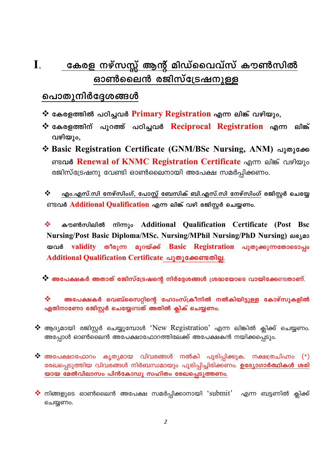#### <u>കേരള നഴ്സസ്സ് ആന്റ് മിഡ്വൈവ്സ് കൗൺസിൽ</u>  $\mathbf{I}$ . ഓൺലൈൻ രജിസ്ട്രേഷനുള്ള

### പൊതുനിർദ്ദേശങ്ങൾ

- ❖ കേരളത്തിൽ പഠിച്ചവർ Primary Registration എന്ന ലിങ്ക് വഴിയും,
- ❖ കേരളത്തിന് പുറത്ത് പഠിച്ചവർ Reciprocal Registration എന്ന ലിങ്ക് വഴിയും,
- † Basic Registration Certificate (GNM/BSc Nursing, ANM) வுறைக்கூ ണ്ടവർ Renewal of KNMC Registration Certificate എന്ന ലിങ്ക് വഴിയും രജിസ്ട്രേഷനു വേണ്ടി ഓൺലൈനായി അപേക്ഷ സമർപ്പിക്കണം.
- $\frac{1}{2}$ എം.എസ്.സി നേഴ്സിംഗ്, പോസ്റ്റ് ബേസിക് ബി.എസ്.സി നേഴ്സിംഗ് രജിസ്റ്റർ ചെയ്യേ ണ്ടവർ Additional Qualification എന്ന ലിങ്ക് വഴി രജിസ്റ്റർ ചെയ്യണം.

 $\frac{1}{2}$ കൗൺസിലിൽ നിന്നും Additional Qualification Certificate (Post Bsc Nursing/Post Basic Diploma/MSc. Nursing/MPhil Nursing/PhD Nursing) elegeo യവർ validity തീരുന്ന മുറയ്ക്ക് Basic Registration പുതുക്കുന്നതോടൊപ്പം Additional Qualification Certificate പുതുക്കേണ്ടതില്ല.

 $\bm{\ddot{\cdot}}$  അപേക്ഷകർ അതാത് രജിസ്ട്രേഷന്റെ നിർദ്ദേശങ്ങൾ ശ്രദ്ധയോടെ വായിക്കേണ്ടതാണ്.

❖ അപേക്ഷകർ വെബ്സൈറ്റിന്റെ ഹോംസ്ക്രീനിൽ നൽകിയിട്ടുള്ള കോഴ്സുകളിൽ ഏതിനാണോ രജിസ്റ്റർ ചെയ്യേണ്ടത് അതിൽ ക്ലിക് ചെയ്യണം.

- $\bm{\hat{v}}$  ആദ്യമായി രജിസ്റ്റർ ചെയ്യുമ്പോൾ 'New Registration' എന്ന ലിങ്കിൽ ക്ലിക്ക് ചെയ്യണം. അപ്പോൾ ഓൺലൈൻ അപേക്ഷാഫോറത്തിലേക്ക് അപേക്ഷകൻ നയിക്കപ്പെടും.
- $\clubsuit$  അപേക്ഷാഫോറം കൃത്യമായ വിവരങ്ങൾ നൽകി പൂരിപ്പിക്കുക. നക്ഷത്രചിഹ്നം (\*) രേഖപ്പെടുത്തിയ വിവരങ്ങൾ നിർബന്ധമായും പൂരിപ്പിച്ചിരിക്കണം. **ഉദ്യോഗാർത്ഥികൾ ശരി** യായ മേൽവിലാസം പിൻകോഡു സഹിതം രേഖപ്പെടുത്തണം.
- $\bm{\dot{\ast}}$  നിങ്ങളുടെ ഓൺലൈൻ അപേക്ഷ സമർപ്പിക്കാനായി 'submit' എന്ന ബട്ടണിൽ ക്ലിക്ക് ചെയ്യണം.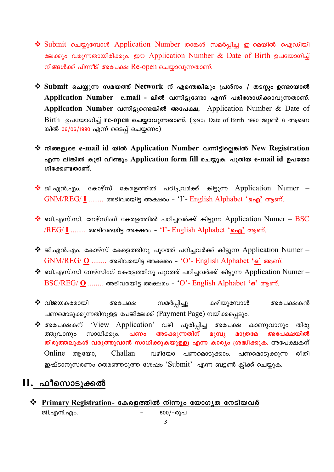- $\clubsuit$  Submit ചെയ്യുമ്പോൾ Application Number താങ്കൾ സമർപ്പിച്ച ഇ-മെയിൽ ഐഡിയി ലേക്കും വരുന്നതായിരിക്കും. ഈ Application Number & Date of Birth ഉപയോഗിച്ച് നിങ്ങൾക്ക് പിന്നീട് അപേക്ഷ  $Re$ -open ചെയ്യാവുന്നതാണ്.
- $\mathbf{\hat{P}}$  Submit ചെയ്യുന്ന സമയത്ത് Network ന് എന്തെങ്കിലും പ്രശ്നം / തടസ്സം ഉണ്ടായാൽ Application Number e.mail - ലിൽ വന്നിട്ടുണ്ടോ എന്ന് പരിശോധിക്കാവുന്നതാണ്. Application Number  $\alpha$ malgions and  $\alpha$  moral and Application Number & Date of Birth ഉപയോഗിച്ച് re-open ചെയ്യാവുന്നതാണ്. (ഉദാ: Date of Birth 1990 ജൂൺ 6 ആണെ ങ്കിൽ 06/06/1990 എന്ന് ടൈപ്പ് ചെയ്യണം)
- ◆ നിങ്ങളുടെ e-mail id യിൽ Application Number വന്നിട്ടില്ലെങ്കിൽ New Registration എന്ന ലിങ്കിൽ കൂടി വീണ്ടും Application form fill ചെയ്യുക. <u>പുതിയ e-mail id</u> ഉപയോ ഗിക്കേണ്ടതാണ്.
- $\clubsuit$  ജി.എൻ.എം. കോഴ്സ് കേരളത്തിൽ പഠിച്ചവർക്ക് കിട്ടുന്ന Application Numer GNM/REG/ I ........ അടിവരയിട്ട അക്ഷരം - 'I'- English Alphabet 'ഐ' ആണ്.
- $\cdot$  ബി.എസ്.സി. നേഴ്സിംഗ് കേരളത്തിൽ പഠിച്ചവർക്ക് കിട്ടുന്ന Application Numer BSC /REG/ I ........ അടിവരയിട്ട അക്ഷരം - 'I'- English Alphabet 'ഐ' ആണ്.
- $\clubsuit$  ജി.എൻ.എം. കോഴ്സ് കേരളത്തിനു പുറത്ത് പഠിച്ചവർക്ക് കിട്ടുന്ന Application Numer GNM/REG/ 0 ........ അടിവരയിട്ട അക്ഷരം - 'O'- English Alphabet ' ഒ' ആണ്.
- $\boldsymbol{\hat{\cdot}}$  ബി.എസ്.സി നേഴ്സിംഗ് കേരളത്തിനു പുറത്ത് പഠിച്ചവർക്ക് കിട്ടുന്ന Application Numer  $BSC/REG/\Omega$  ........ അടിവരയിട്ട അക്ഷരം - 'O'- English Alphabet 's' ആണ്.
- $\clubsuit$  വിജയകരമായി കഴിയുമ്പോൾ അപേക്ഷ സമർപ്പിച്ചു അപേക്ഷകൻ പണമൊടുക്കുന്നതിനുളള പേജിലേക്ക് (Payment Page) നയിക്കപ്പെടും.
- അപേക്ഷകന് 'View Application' വഴി പുരിപ്പിച്ച അപേക്ഷ കാണുവാനും തിരു ത്തുവാനും സാധിക്കും. പണം അടക്കുന്നതിന് മുമ്പു മാത്രമേ അപേക്ഷയിൽ തിരുത്തലുകൾ വരുത്തുവാൻ സാധിക്കുകയുള്ളു എന്ന കാര്യം ശ്രദ്ധിക്കുക. അപേക്ഷകന് Online അയോ, Challan വഴിയോ പണമൊടുക്കാം. പണമൊടുക്കുന്ന രീതി ഇഷ്ടാനുസരണം തെരഞ്ഞടുത്ത ശേഷം 'Submit' എന്ന ബട്ടൺ ക്ലിക്ക് ചെയ്യുക.

### $\mathbf H$ . ഫീസൊട്ടുക്കൽ

 $\mathbf{\hat{P}}$  Primary Registration- കേരളത്തിൽ നിന്നും യോഗൃത നേടിയവർ ജി.എൻ.എം. 500/-രൂപ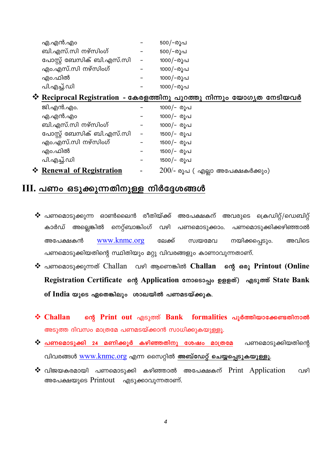| എ.എൻ.എ൦                   | 500/-രൂപ  |
|---------------------------|-----------|
| ബി.എസ്.സി നഴ്സിംഗ്        | 500/–രൂപ  |
| പോസ്റ്റ് ബേസിക് ബി.എസ്.സി | 1000/-രൂപ |
| എം.എസ്.സി നഴ്സിംഗ്        | 1000/-രൂപ |
| എം.ഫിൽ                    | 1000/-രൂപ |
| പി.എച്ച്.ഡി               | 1000/-രൂപ |

### ❖ Reciprocal Registration - കേരളത്തിനു പുറത്തു നിന്നും യോഗൃത നേടിയവർ

| ❖ Renewal of Registration |                | $200$ /- രൂപ ( എല്ലാ അപേക്ഷകർക്കും) |
|---------------------------|----------------|-------------------------------------|
| പി.എച്ച്.ഡി               |                | 1500/- രൂപ                          |
| എം.ഫിൽ                    |                | 1500/- രൂപ                          |
| എം.എസ്.സി നഴ്സിംഗ്        |                | 1500/- രൂപ                          |
| പോസ്റ്റ് ബേസിക് ബി.എസ്.സി | $\overline{a}$ | 1500/- രൂപ                          |
| ബി.എസ്.സി നഴ്സിംഗ്        |                | 1000/- രൂപ                          |
| എ.എൻ.എo                   |                | 1000/- രൂപ                          |
| ജി.എൻ.എം.                 |                | 1000/- രൂപ                          |

### III. പണം ഒടുക്കുന്നതിനുള്ള നിർദ്ദേശങ്ങൾ

- ❖ പണമൊടുക്കുന്ന ഓൺലൈൻ രീതിയ്ക്ക് അപേക്ഷകന് അവരുടെ ക്രെഡിറ്റ്/ഡെബിറ്റ് കാർഡ് അല്ലെങ്കിൽ നെറ്റ്ബാങ്കിംഗ് വഴി പണമൊടുക്കിക്കഴിഞ്ഞാൽ പണമൊടുക്കാം. www.knmc.org ലേക്ക് അപേക്ഷകൻ സ്വയമേവ നയിക്കപ്പെടും. അവിടെ പണമൊടുക്കിയതിന്റെ സ്ഥിതിയും മറ്റു വിവരങ്ങളും കാണാവുന്നതാണ്.
- ❖ പണമൊടുക്കുന്നത് Challan വഴി ആണെങ്കിൽ Challan ന്റെ ഒരു Printout (Online Registration Certificate எஜ் Application மேலைவு உத்தல்) എടുത്ത് State Bank of India യുടെ ഏതെങ്കിലും ശാഖയിൽ പണമടയ്ക്കുക.
- $\div$  Challan ന്റെ Print out എടുത്ത് Bank formalities പൂർത്തിയാക്കേണ്ടതിനാൽ അടുത്ത ദിവസം മാത്രമേ പണമടയ്ക്കാൻ സാധിക്കുകയുള്ളൂ.
- <u>് പണമൊടുക്കി 24 മണിക്കൂർ കഴിഞ്ഞതിനു ശേഷം മാത്രമേ</u> പണമൊടുക്കിയതിന്റെ വിവരങ്ങൾ www.knmc.org എന്ന സൈറ്റിൽ അബ്ഡേറ്റ് ചെയ്യപ്പെടുകയുള്ളൂ.
- $\clubsuit$  വിജയകരമായി പണമൊടുക്കി കഴിഞ്ഞാൽ അപേക്ഷകന് Print Application വഴി അപേക്ഷയുടെ Printout എടുക്കാവുന്നതാണ്.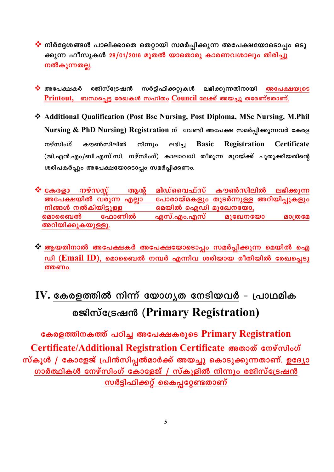❖ നിർദ്ദേശങ്ങൾ പാലിക്കാതെ തെറ്റായി സമർപ്പിക്കുന്ന അപേക്ഷയോടൊപ്പം ഒടു ക്കുന്ന ഫീസുകൾ 28/01/2016 മുതൽ യാതൊരു കാരണവശാലും തിരിച്ചു നൽകുന്നതല്ല.

 $\boldsymbol{\dot{\cdot}}$  അപേക്ഷകർ രജിസ്ട്രേഷൻ സർട്ടിഫിക്കറ്റുകൾ ലഭിക്കുന്നതിനായി അപേക്ഷയുടെ Printout, ബന്ധപ്പെട്ട രേഖകൾ സഹിതം Council ലേക്ക് അയച്ചു തരേണ്ടതാണ്.

- ❖ Additional Qualification (Post Bsc Nursing, Post Diploma, MSc Nursing, M.Phil Nursing & PhD Nursing) Registration ന് വേണ്ടി അപേക്ഷ സമർപ്പിക്കുന്നവർ കേരള നഴ്സിംഗ് കൗൺസിലിൽ **Basic Registration** Certificate നിന്നും ലഭിച്ച (ജി.എൻ.എം/ബി.എസ്.സി. നഴ്സിംഗ്) കാലാവധി തീരുന്ന മുറയ്ക്ക് പുതുക്കിയതിന്റെ ശരിപകർപ്പും അപേക്ഷയോടൊപ്പം സമർപ്പിക്കണം.
- നഴ്സസ്  $\clubsuit$  canoso മിഡ്വൈഫ്സ് കൗൺസിലിൽ അന് ലഭിക്കുന്ന അപേക്ഷയിൽ വരുന്ന എല്ലാ പോരായ്മകളും തുടർന്നുള്ള അറിയിപ്പുകളും നിങ്ങൾ നൽകിയിട്ടുള്ള മെയിൽ ഐഡി മൂഖേനയോ, മൊബൈൽ ഫോണിൽ എസ്.എം.എസ് മുഖേനയോ മാത്രമേ അറിയിക്കുകയുള്ളു.

❖ ആയ<u>തിനാൽ അപേക്ഷകർ അപേക്ഷയോടൊപ്പം സമർപ്പിക്കുന്ന മെയിൽ ഐ</u> ഡി ( $\boldsymbol{\mathrm{E}}$ mail  $\boldsymbol{\mathrm{ID}}$ ), മൊബൈൽ നമ്പർ എന്നിവ ശരിയായ രീതിയിൽ രേഖപ്പെടു *ത്തണം.* 

# $IV.$  കേരളത്തിൽ നിന്ന് യോഗൃത നേടിയവർ – പ്രാഥമിക രജിസ്ട്രേഷൻ (Primary Registration)

കേരളത്തിനകത്ത് പഠിച്ച അപേക്ഷകരുടെ Primary Registration Certificate/Additional Registration Certificate അതാത് നേഴ്സിംഗ് സ്കൂൾ / കോളേജ് പ്രിൻസിപ്പൽമാർക്ക് അയച്ചു കൊടുക്കുന്നതാണ്. ഉദ്യോ ഗാർത്ഥികൾ നേഴ്സിംഗ് കോളേജ് / സ്കുളിൽ നിന്നും രജിസ്ട്രേഷൻ സർട്ടിഫിക്കറ്റ് കൈപ്പറ്റേണ്ടതാണ്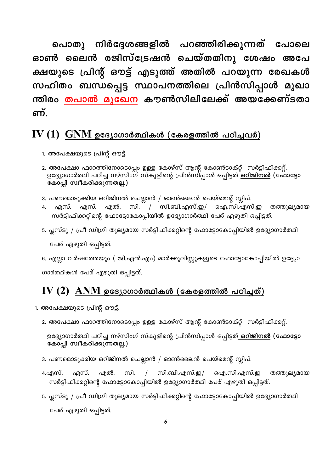പൊതു നിർദ്ദേശങ്ങളിൽ പറഞ്ഞിരിക്കുന്നത് പോലെ ഓൺ ലൈൻ രജിസ്ട്രേഷൻ ചെയ്തതിനു ശേഷം അപേ ക്ഷയുടെ പ്രിന്റ് ഔട്ട് എടുത്ത് അതിൽ പറയുന്ന രേഖകൾ സഹിതം ബന്ധപ്പെട്ട സ്ഥാപനത്തിലെ പ്രിൻസിപ്പാൾ മുഖാ ന്തിരം തപാൽ മുഖേന കൗൺസിലിലേക്ക് അയക്കേണ്ടതാ ണ്.

### $IV(1)$   $GNM$  ഉദ്യോഗാർത്ഥികൾ (കേരളത്തിൽ പഠിച്ചവർ)

- 1. അപേക്ഷയുടെ പ്രിന്റ് ഔട്ട്.
- 2. അപേക്ഷാ ഫാറത്തിനോടൊപ്പം ഉള്ള കോഴ്സ് ആന്റ് കോൺടാക്റ്റ് സർട്ടിഫിക്കറ്റ്. ഉദ്ദ്യോഗാർത്ഥി പഠിച്ച നഴ്സിംഗ് സ്കൂളിന്റെ പ്രിൻസി്പ്പാൾ ഒപ്പിട്ടത്്<mark>ക്കിജിനൽ</mark> (ഫോട്ടോ കോപ്പി സ്വീകരിക്കുന്നതല്ല.)
- 3. പണമൊടുക്കിയ ഒറിജിനൽ ചെല്ലാൻ / ഓൺലൈൻ പെയ്മെന്റ് സ്ലിപ്.
- എൽ. സി. / സി.ബി.എസ്.ഇ/ ഐ.സി.എസ്.ഇ തത്തുല്യമായ 4. എസ്. എസ്. സർട്ടിഫിക്കറ്റിന്റെ ഫോട്ടോകോപ്പിയിൽ ഉദ്ദ്യോഗാർത്ഥി പേര് എഴുതി ഒപ്പിട്ടത്.
- 5. പ്ലസ്ടു / പ്രീ ഡിഗ്രി തുല്യമായ സർട്ടിഫിക്കറ്റിന്റെ ഫോട്ടോകോപ്പിയിൽ ഉദ്ദ്യോഗാർത്ഥി

പേര് എഴുതി ഒപ്പിട്ടത്.

6. എല്ലാ വർഷത്തേയും ( ജി.എൻ.എം) മാർക്കുലിസ്റ്റുകളുടെ ഫോട്ടോകോപ്പിയിൽ ഉദ്ദ്യോ

ഗാർത്ഥികൾ പേര് എഴുതി ഒപ്പിട്ടത്.

## IV (2) ANM ഉദ്യോഗാർത്ഥികൾ (കേരളത്തിൽ പഠിച്ചത്)

- 1. അപേക്ഷയുടെ പ്രിന്റ് ഔട്ട്.
	- 2. അപേക്ഷാ ഫാറത്തിനോടൊപ്പം ഉള്ള കോഴ്സ് ആന്റ് കോൺടാക്റ്റ് സർട്ടിഫിക്കറ്റ്.

ഉദ്ദ്യോഗാർത്ഥി പഠിച്ച നഴ്സിംഗ് സ്കൂളിന്റെ പ്രിൻസിപ്പാൾ ഒപ്പിട്ടത<u>് <mark>ഒറിജിനൽ</mark> (</u>ഫോട്ടോ കോപ്പി സ്വീകരിക്കുന്നതല്ല.)

- 3. പണമൊടുക്കിയ ഒറിജിനൽ ചെല്ലാൻ / ഓൺലൈൻ പെയ്മെന്റ് സ്ലിപ്.
- എസ്. എൽ. സി. / സി.ബി.എസ്.ഇ/ ഐ.സി.എസ്.ഇ തത്തുല്യമായ 4.എസ്. സർട്ടിഫിക്കറ്റിന്റെ ഫോട്ടോകോപ്പിയിൽ ഉദ്ദ്യോഗാർത്ഥി പേര് എഴുതി ഒപ്പിട്ടത്.
- 5. പ്ലസ്ടു / പ്രീ ഡിഗ്രി തുല്യമായ സർട്ടിഫിക്കറ്റിന്റെ ഫോട്ടോകോപ്പിയിൽ ഉദ്ദ്യോഗാർത്ഥി പേര് എഴുതി ഒപ്പിട്ടത്.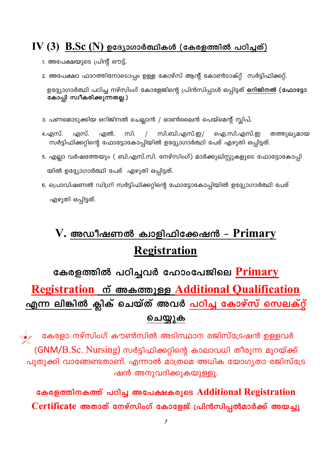### $IV(3)$   $B.Sc(N)$  ഉദ്യോഗാർത്ഥികൾ (കേരളത്തിൽ പഠിച്ചത്)

- 1. അപേക്ഷയുടെ പ്രിന്റ് ഔട്ട്.
- 2. അപേക്ഷാ ഫാറത്തിനോടൊപ്പം ഉള്ള കോഴ്സ് ആന്റ് കോൺടാക്റ്റ് സർട്ടിഫിക്കറ്റ്.

ഉദ്ദ്യോഗാർത്ഥി പഠിച്ച നഴ്സിംഗ് കോളേജിന്റെ പ്രിൻസിപ്പാൾ ഒപ്പിട്ടത് <mark>ഒറിജിനൽ (ഫോട്ടോ</mark> കോപ്പി സ്വീകരിക്കുന്നതല്ല.)

- 3. പണമൊടുക്കിയ ഒറിജിനൽ ചെല്ലാൻ / ഓൺലൈൻ പെയ്മെന്റ് സ്ലിപ്.
- സി.ബി.എസ്.ഇ/ 4.എസ്. എസ്. എൽ. സി.  $\sqrt{2}$ ഐ.സി.എസ്.ഇ തത്തുല്യമായ സർട്ടിഫിക്കറ്റിന്റെ ഫോട്ടോകോപ്പിയിൽ ഉദ്ദ്യോഗാർത്ഥി പേര് എഴുതി ഒപ്പിട്ടത്.
- 5. എല്ലാ വർഷത്തേയും ( ബി.എസ്.സി. നേഴ്സിംഗ്) മാർക്കുലിസ്റ്റുകളുടെ ഫോട്ടോകോപ്പി യിൽ ഉദ്ദ്യോഗാർത്ഥി പേര് എഴുതി ഒപ്പിട്ടത്.
- 6. പ്രൊവിഷണൽ ഡിഗ്രി സർട്ടിഫിക്കറ്റിന്റെ ഫോട്ടോകോപ്പിയിൽ ഉദ്ദ്യോഗാർത്ഥി പേര് എഴുതി ഒപ്പിട്ടത്.

# $\bf{V.}$  അഡീഷണൽ ക്വാളിഫിക്കേഷൻ –  $\bf{Primary}$ Registration

കേരളത്തിൽ പഠിച്ചവർ ഹോംപേജിലെ <mark>Primary</mark> Registration m അകത്തുള്ള Additional Qualification <u>എന്ന ലിങ്കിൽ ക്ലിക് ചെയ്ത് അവർ പഠിച്ച കോഴ്സ് സെലക്റ്റ്</u> ചെയ്യുക

കേരളാ നഴ്സിംഗ് കൗൺസിൽ അടിസ്ഥാന രജിസ്ട്രേഷൻ ഉള്ളവർ (GNM/B.Sc. Nursing) സർട്ടിഫിക്കറ്റിന്റെ കാലാവധി തീരുന്ന മുറയ്ക്ക് പുതുക്കി വാങ്ങേണ്ടതാണ്. എന്നാൽ മാത്രമെ അധിക യോഗ്യതാ രജിസ്ട്രേ ഷൻ അനുവദിക്കുകയുള്ളൂ.

കേരളത്തിനകത്ത് പഠിച്ച അപേക്ഷകരുടെ Additional Registration Certificate അതാത് നേഴ്സിംഗ് കോളേജ് പ്രിൻസിപ്പൽമാർക്ക് അയച്ചു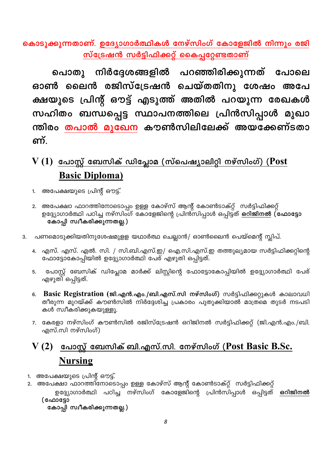കൊടുക്കുന്നതാണ്. ഉദ്യോഗാർത്ഥികൾ നേഴ്സിംഗ് കോളേജിൽ നിന്നും രജി സ്ട്രേഷൻ സർട്ടിഫിക്കറ്റ് കൈപ്പറ്റേണ്ടതാണ്

പൊതു നിർദ്ദേശങ്ങളിൽ പറഞ്ഞിരിക്കുന്നത് പോലെ ഓൺ ലൈൻ രജിസ്ട്രേഷൻ ചെയ്തതിനു ശേഷം അപേ ക്ഷയുടെ പ്രിന്റ് ഔട്ട് എടുത്ത് അതിൽ പറയുന്ന രേഖകൾ സഹിതം ബന്ധപ്പെട്ട സ്ഥാപനത്തിലെ പ്രിൻസിപ്പാൾ മുഖാ ന്തിരം തപാൽ മുഖേന കൗൺസിലിലേക്ക് അയക്കേണ്ടതാ ണ്.

# $V(1)$  പോസ്റ്റ് ബേസിക് ഡിപ്ലോമ (സ്പെഷ്യാലിറ്റി നഴ്സിംഗ്) ( $Post$ **Basic Diploma)**

- 1. അപേക്ഷയുടെ പ്രിന്റ് ഔട്ട്.
- 2. അപേക്ഷാ ഫാറത്തിനോടൊപ്പം ഉള്ള കോഴ്സ് ആന്റ് കോൺടാക്റ്റ് സർട്ടിഫിക്കറ്റ് ഉദ്ദ്യോഗാർത്ഥി പഠിച്ച നഴ്സിംഗ് കോളേജിന്റെ പ്രിൻസിപ്പാൾ ഒപ്പിട്ടത് <mark>ഒറിജിനൽ</mark> (്**ഫോട്ടോ** കോപ്പി സ്വീകരിക്കുന്നതല്ല.)
- പണമൊടുക്കിയതിനുശേഷമുളള യഥാർത്ഥ ചെല്ലാൻ/ ഓൺലൈൻ പെയ്മെന്റ് സ്ലിപ്. 3.
	- 4. എസ്. എസ്. എൽ. സി. / സി.ബി.എസ്.ഇ/ ഐ.സി.എസ്.ഇ തത്തുല്യമായ സർട്ടിഫിക്കറ്റിന്റെ ഫോട്ടോകോപ്പിയിൽ ഉദ്ദ്യോഗാർത്ഥി പേര് എഴുതി ഒപ്പിട്ടത്.
	- പോസ്റ്റ് ബേസിക് ഡിപ്ലോമ മാർക്ക് ലിസ്റ്റിന്റെ ഫോട്ടോകോപ്പിയിൽ ഉദ്ദ്യോഗാർത്ഥി പേര് 5. എഴുതി് ഒപ്പിട്ടത്.
	- Basic Registration (ജി.എൻ.എം./ബി.എസ്.സി നഴ്സിംഗ്) സർട്ടിഫിക്കറ്റുകൾ കാലാവധി 6. .<br>തീരുന്ന മുറയ്ക്ക് കൗൺസിൽ നിർദ്ദേശിച്ച പ്രകാരം പുതുക്കിയാൽ മാത്രമെ തുടർ നടപടി കൾ സ്വീകരിക്കുകയുള്ളൂ.
	- 7. കേരളാ നഴ്സിംഗ് കൗൺസിൽ രജിസ്ട്രേഷൻ ഒറിജിനൽ സർട്ടിഫിക്കറ്റ് (ജി.എൻ.എം./ബി. എസ്.സി നഴ്സിംഗ്)

# $V(2)$  പോസ്റ്റ് ബേസിക് ബി.എസ്.സി. നേഴ്സിംഗ് (Post Basic B.Sc. **Nursing**

- 1. അപേക്ഷയുടെ പ്രിന്റ് ഔട്ട്.
- 2. അപേക്ഷാ ഫാറത്തിനോടൊപ്പം ഉള്ള കോഴ്സ് ആന്റ് കോൺടാക്റ്റ് സർട്ടിഫിക്കറ്റ്

```
ഉദ്ദ്യോഗാർത്ഥി പഠിച്ച നഴ്സിംഗ് കോളേജിന്റെ പ്രിൻസിപ്പാൾ ഒപ്പിട്ടത് <mark>ഒറിജിനൽ</mark>
(ഫോടോ
```

```
കോപ്പി സ്വീകരിക്കുന്നതല്ല.)
```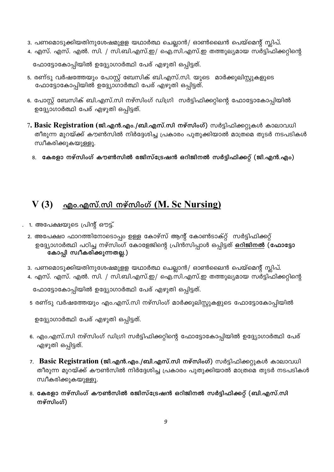- 3. പണമൊടുക്കിയതിനുശേഷമുളള യഥാർത്ഥ ചെല്ലാൻ/ ഓൺലൈൻ പെയ്മെന്റ് സ്ലിപ്.
- 4. എസ്. എസ്. എൽ. സി. / സി.ബി.എസ്.ഇ/ ഐ.സി.എസ്.ഇ തത്തുല്യമായ സർട്ടിഫിക്കറ്റിന്റെ

ഫോട്ടോകോപ്പിയിൽ ഉദ്ദ്യോഗാർത്ഥി പേര് എഴുതി ഒപ്പിട്ടത്.

- 5. രണ്ടു വർഷത്തേയും പോസ്റ്റ് ബേസിക് ബി.എസ്.സി. യുടെ മാർക്കുലിസ്റ്റുകളുടെ ഫോട്ടോകോപ്പിയിൽ ഉദ്ദ്യോഗാർത്ഥി പേര് എഴുതി ഒപ്പിട്ടത്.
- 6. പോസ്റ്റ് ബേസിക് ബി.എസ്.സി നഴ്സിംഗ് ഡിഗ്രി സർട്ടിഫിക്കറ്റിന്റെ ഫോട്ടോകോപ്പിയിൽ ഉദ്ദ്യോഗാർത്ഥി പേര് എഴുതി ഒപ്പിട്ടത്.
- 7. Basic Registration (ജി.എൻ.എം./ബി.എസ്.സി നഴ്സിംഗ്) സർട്ടിഫിക്കറ്റുകൾ കാലാവധി തീരുന്ന മുറയ്ക്ക് കൗൺസിൽ നിർദ്ദേശിച്ച പ്രകാരം പുതുക്കിയാൽ മാത്രമെ തുടർ നടപടികൾ സ്വീകരിക്കുകയുള്ളൂ.
	- 8. കേരളാ നഴ്സിംഗ് കൗൺസിൽ രജിസ്ട്രേഷൻ ഒറിജിനൽ സർട്ടിഫിക്കറ്റ് (ജി.എൻ.എം)

#### $V(3)$ എം.എസ്.സി നഴ്സിംഗ്  $(M.$  Sc Nursing)

- 1. അപേക്ഷയുടെ പ്രിന്റ് ഔട്ട്.
- 2. അപേക്ഷാ ഫാറത്തിനോടൊപ്പം ഉള്ള കോഴ്സ് ആന്റ് കോൺടാക്റ്റ് സർട്ടിഫിക്കറ്റ് ഉദ്ദ്യോഗാർത്ഥി പഠിച്ച നഴ്സിംഗ് കോളേജിന്റെ പ്രിൻസിപ്പാൾ ഒപ്പിട്ടത് <mark>ഒറിജിനൽ</mark> (**ഫോട്ടോ** കോപ്പി സ്വീകരിക്കുന്നതല്ല.)
- 3. പണമൊടുക്കിയതിനുശേഷമുളള യഥാർത്ഥ ചെല്ലാൻ/ ഓൺലൈൻ പെയ്മെന്റ് സ്ലിപ്.
- 4. എസ്. എസ്. എൽ. സി. / സി.ബി.എസ്.ഇ/ ഐ.സി.എസ്.ഇ തത്തുല്യമായ സർട്ടിഫിക്കറ്റിന്റെ

ഫോട്ടോകോപ്പിയിൽ ഉദ്ദ്യോഗാർത്ഥി പേര് എഴുതി ഒപ്പിട്ടത്.

5 രണ്ടു വർഷത്തേയും എം.എസ്.സി നഴ്സിംഗ് മാർക്കുലിസ്റ്റുകളുടെ ഫോട്ടോകോപ്പിയിൽ

ഉദ്ദ്യോഗാർത്ഥി പേര് എഴുതി ഒപ്പിട്ടത്.

- 6. എം.എസ്.സി നഴ്സിംഗ് ഡിഗ്രി സർട്ടിഫിക്കറ്റിന്റെ ഫോട്ടോകോപ്പിയിൽ ഉദ്ദ്യോഗാർത്ഥി പേര് എഴുതി ഒപ്പിട്ടത്.
- 7. Basic Registration (ജി.എൻ.എം./ബി.എസ്.സി നഴ്സിംഗ്) സർട്ടിഫിക്കറ്റുകൾ കാലാവധി തീരുന്ന മുറയ്ക്ക് കൗൺസിൽ നിർദ്ദേശിച്ച പ്രകാരം പുതുക്കിയാൽ മാത്രമെ തുടർ നടപടികൾ സ്വീകരിക്കുകയുള്ളൂ.
- 8. കേരളാ നഴ്സിംഗ് കൗൺസിൽ രജിസ്ട്രേഷൻ ഒറിജിനൽ സർട്ടിഫിക്കറ്റ് (ബി.എസ്.സി നഴ്സിംഗ്)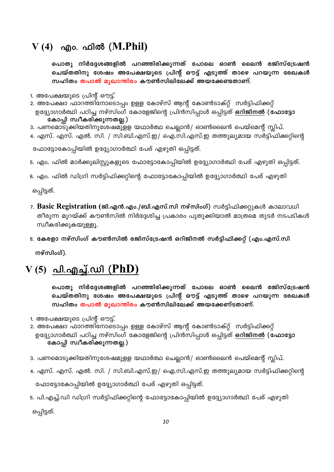### $V(4)$  എം. ഫിൽ (M.Phil)

പൊതു നിർദ്ദേശങ്ങളിൽ പറഞ്ഞിരിക്കുന്നത് പോലെ ഓൺ ലൈൻ രജിസ്ട്രേഷൻ ചെയ്തതിനു ശേഷം അപേക്ഷയുടെ പ്രിന്റ് ഔട്ട് എടുത്ത് താഴെ പറയുന്ന രേഖകൾ സഹിതം തപാൽ മുഖാന്തിരം കൗൺസിലിലേക്ക് അയക്കേണ്ടതാണ്.

- 1. അപേക്ഷയുടെ പ്രിന്റ് ഔട്ട്.
- 2. അപേക്ഷാ ഫാറത്തി്നോടൊപ്പം ഉള്ള കോഴ്സ് ആന്റ് കോൺടാക്റ്റ് സർട്ടിഫിക്കറ്റ് ഉദ്ദ്യോഗാർത്ഥി പഠിച്ച നഴ്സിംഗ് കോളേജിന്റെ പ്രിൻസിപ്പാൾ ഒപ്പിട്ടത് <mark>ഒറിജിനൽ (ഫോട്ടോ</mark> കോപ്പി സ്വീകരിക്കുന്നതല്ല.)
- 3. പണമൊടുക്കിയതിനുശേഷമുളള യഥാർത്ഥ ചെല്ലാൻ/ ഓൺലൈൻ പെയ്മെന്റ് സ്ലിപ്.
- 4. എസ്. എസ്. എൽ. സി. / സി.ബി.എസ്.ഇ/ ഐ.സി.എസ്.ഇ തത്തുല്യമായ സർട്ടിഫിക്കറ്റിന്റെ

ഫോട്ടോകോപ്പിയിൽ ഉദ്ദ്യോഗാർത്ഥി പേര് എഴുതി ഒപ്പിട്ടത്.

5. എം. ഫിൽ മാർക്കുലിസ്റ്റുകളുടെ ഫോട്ടോകോപ്പിയിൽ ഉദ്ദ്യോഗാർത്ഥി പേര് എഴുതി ഒപ്പിട്ടത്.

6. എം. ഫിൽ ഡിഗ്രി സർട്ടിഫിക്കറ്റിന്റെ ഫോട്ടോകോപ്പിയിൽ ഉദ്ദ്യോഗാർത്ഥി പേര് എഴുതി

ഒപ്പിട്ടത്.

- 7. Basic Registration (ജി.എൻ.എം./ബി.എസ്.സി നഴ്സിംഗ്) സർട്ടിഫിക്കറ്റുകൾ കാലാവധി തീരുന്ന മുറയ്ക്ക് കൗൺസിൽ നിർദ്ദേശിച്ച പ്രകാരം പുതുക്കിയാൽ മാത്രമെ തുടർ നടപടികൾ സ്വീകരിക്കുകയുള്ളൂ.
- 8. കേരളാ നഴ്സിംഗ് കൗൺസിൽ രജിസ്ട്രേഷൻ ഒറിജിനൽ സർട്ടിഫിക്കറ്റ് (എം.എസ്.സി

നഴ്സിംഗ്).

## $V(5)$  പി.എച്ച്.ഡി  $(PhD)$

പൊതു നിർദ്ദേശങ്ങളിൽ പറഞ്ഞിരിക്കുന്നത് പോലെ ഓൺ ലൈൻ രജിസ്ട്രേഷൻ ചെയ്തതിനു ശേഷം അപേക്ഷയുടെ പ്രിന്റ് ഔട്ട് എടുത്ത് താഴെ പറയുന്ന രേഖകൾ സഹിതം <mark>തപാൽ മുഖാന്തിരം ക</mark>ൗൺസിലിലേക്ക് അയക്കേണ്ടതാണ്.

1. അപേക്ഷയുടെ പ്രിന്റ് ഔട്ട്.

2. അപേക്ഷാ ഫാറത്തിനോടൊപ്പം ഉള്ള കോഴ്സ് ആന്റ് കോൺടാക്റ്റ് സർട്ടിഫിക്കറ്റ്

ഉദ്ദ്യോഗാർത്ഥി പഠിച്ച നഴ്സിംഗ് കോളേജിന്റെ പ്രിൻസിപ്പാൾ ഒപ്പിട്ടത് <mark>ഒറിജിനൽ</mark> (ഫോട്ടോ കോപ്പി സ്വീകരിക്കുന്നതല്ല.)

- 3. പണമൊടുക്കിയതിനുശേഷമുളള യഥാർത്ഥ ചെല്ലാൻ/ ഓൺലൈൻ പെയ്മെന്റ് സ്ലിപ്.
- 4. എസ്. എസ്. എൽ. സി. / സി.ബി.എസ്.ഇ/ ഐ.സി.എസ്.ഇ തത്തുല്യമായ സർട്ടിഫിക്കറ്റിന്റെ ഫോട്ടോകോപ്പിയിൽ ഉദ്ദ്യോഗാർത്ഥി പേര് എഴുതി ഒപ്പിട്ടത്.

5. പി.എച്ച്.ഡി ഡിഗ്രി സർട്ടിഫിക്കറ്റിന്റെ ഫോട്ടോകോപ്പിയിൽ ഉദ്ദ്യോഗാർത്ഥി പേര് എഴുതി ഒപ്പിട്ടത്.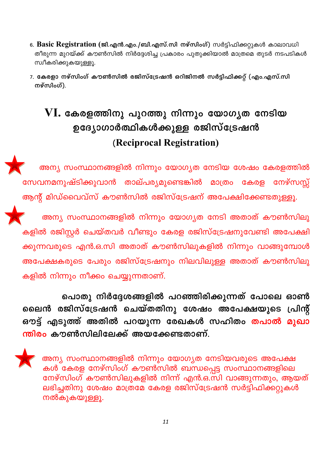- 6. Basic Registration (ജി.എൻ.എം./ബി.എസ്.സി നഴ്സിംഗ്) സർട്ടിഫിക്കറ്റുകൾ കാലാവധി തീരുന്ന മുറയ്ക്ക് കൗൺസിൽ നിർദ്ദേശിച്ച പ്രകാരം പുതുക്കിയാൽ മാത്രമെ തുടർ നടപടികൾ സ്വീകരിക്കുകയുള്ളൂ.
- 7. കേരളാ നഴ്സിംഗ് കൗൺസിൽ രജിസ്ട്രേഷൻ ഒറിജിനൽ സർട്ടിഫിക്കറ്റ് (എം.എസ്.സി നഴ്സിംഗ്).

# $\mathbf{V}$ I. കേരളത്തിനു പുറത്തു നിന്നും യോഗൃത നേടിയ ഉദ്യോഗാർത്ഥികൾക്കുള്ള രജിസ്ട്രേഷൻ (Reciprocal Registration)

അന്യ സംസ്ഥാനങ്ങളിൽ നിന്നും യോഗ്യത നേടിയ ശേഷം കേരളത്തിൽ സേവനമനുഷ്ടിക്കുവാൻ താല്പര്യമുണ്ടെങ്കിൽ മാത്രം കേരള നേഴ്സസ്റ്റ് ആന്റ് മിഡ്വൈവ്സ് കൗൺസിൽ രജിസ്ട്രേഷന് അപേക്ഷിക്കേണ്ടതുള്ളൂ.

അന്യ സംസ്ഥാനങ്ങളിൽ നിന്നും യോഗ്യത നേടി അതാത് കൗൺസിലു കളിൽ രജിസ്റ്റർ ചെയ്തവർ വീണ്ടും കേരള രജിസ്ട്രേഷനുവേണ്ടി അപേക്ഷി ക്കുന്നവരുടെ എൻ.ഒ.സി അതാത് കൗൺസിലുകളിൽ നിന്നും വാങ്ങുമ്പോൾ അപേക്ഷകരുടെ പേരും രജിസ്ട്രേഷനും നിലവിലുള്ള അതാത് കൗൺസിലു കളിൽ നിന്നും നീക്കം ചെയ്യുന്നതാണ്.

പൊതു നിർദ്ദേശങ്ങളിൽ പറഞ്ഞിരിക്കുന്നത് പോലെ ഓൺ ലൈൻ രജിസ്ട്രേഷൻ ചെയ്തതിനു ശേഷം അപേക്ഷയുടെ പ്രിന്റ് ഔട്ട് എടുത്ത് അതിൽ പറയുന്ന രേഖകൾ സഹിതം തപാൽ മുഖാ ന്തിരം കൗൺസിലിലേക്ക് അയക്കേണ്ടതാണ്.

അന്യ സംസ്ഥാനങ്ങളിൽ നിന്നും യോഗ്യത നേടിയവരുടെ അപേക്ഷ കൾ കേരള നേഴ്സിംഗ് കൗൺസിൽ ബന്ധപ്പെട്ട സംസ്ഥാനങ്ങളിലെ നേഴ്സിംഗ് കൗൺസിലുകളിൽ നിന്ന് എൻ.ഒ.സി വാങ്ങുന്നതും, ആയത് ലഭിച്ചതിനു ശേഷം മാത്രമേ കേരള രജിസ്ട്രേഷൻ സർട്ടിഫിക്കറ്റുകൾ നൽകുകയുള്ളു.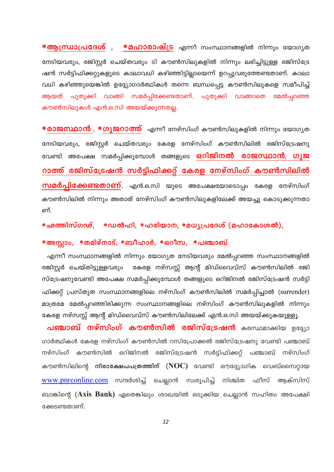<mark>\*ആന്ധ്രാപ്രദേശ് , \*മഹാരാഷ്ട്ര</mark> എന്നീ സംസ്ഥാനങ്ങളിൽ നിന്നും യോഗൃത നേടിയവരും, രജിസ്റ്റർ ചെയ്തവരും ടി കൗൺസിലുകളിൽ നിന്നും ലഭിച്ചിട്ടുള്ള രജിസ്ട്രേ ഷൻ സർട്ടിഫിക്കറ്റുകളുടെ കാലാവധി കഴിഞ്ഞിട്ടില്ലായെന്ന് ഉറപ്പുവരുത്തേണ്ടതാണ്. കാലാ വധി കഴിഞ്ഞുയെങ്കിൽ ഉദ്ദ്യോഗാർത്ഥികൾ തന്നെ ബന്ധപ്പെട്ട കൗൺസിലുകളെ സമീപിച്ച് പുതുക്കി വാങ്ങി സമർപ്പിക്കേണ്ടതാണ്. പുതുക്കി വാങ്ങാതെ മേൽപ്പറഞ്ഞ അയത് കൗൺസിലുകൾ എൻ.ഒ.സി അയയ്ക്കുന്നതല്ല.

**\*രാജസ്ഥാൻ , \*ഗുജറാത്ത്** എന്നീ നേഴ്സിംഗ് കൗൺസിലുകളിൽ നിന്നും യോഗൃത നേടിയവരും, രജിസ്റ്റർ ചെയ്തവരും കേരള നേഴ്സിംഗ് കൗൺസിലിൽ രജിസ്ട്രേഷനു വേണ്ടി അപേക്ഷ സമർപ്പിക്കുമ്പോൾ തങ്ങളുടെ ഒറിജിനൽ രാജസ്ഥാൻ, ഗുജ റാത്ത് രജിസ്ട്രേഷൻ സർട്ടിഫിക്കറ്റ് കേരള നേഴ്സിംഗ് കൗൺസിലിൽ സമർപ്പിക്കേണ്ടതാണ്. എൻ.ഒ.സി യുടെ അപേക്ഷയോടൊപ്പം കേരള നേഴ്സിംഗ് കൗൺസിലിൽ നിന്നും അതാത് നേഴ്സിംഗ് കൗൺസിലുകളിലേക്ക് അയച്ചു കൊടുക്കുന്നതാ ണ്.

\*ഛത്തിസ്ഗഢ്, \*ഡൽഹി, \*ഹരിയാന, \*മധ്യപ്രദേശ് (മഹാകോശൽ),

#### \*അസ്ലാം, \*തമിഴ്നാട്, \*ബീഹാർ, \*ഒറീസ, \*പഞ്ചാബ്

എന്നീ സംസ്ഥാനങ്ങളിൽ നിന്നും യോഗൃത നേടിയവരും മേൽപ്പറഞ്ഞ സംസ്ഥാനങ്ങളിൽ കേരള നഴ്സസ്സ് ആന്റ് മിഡ്വൈവ്സ് കൗൺസിലിൽ രജി രജിസ്റ്റർ ചെയ്തിട്ടുള്ളവരും സ്ട്രേഷനുവേണ്ടി അപേക്ഷ സമർപ്പിക്കുമ്പോൾ തങ്ങളുടെ ഒറിജിനൽ രജിസ്ട്രേഷൻ സർട്ടി ഫിക്കറ്റ് പ്രസ്തുത സംസ്ഥാനങ്ങളിലെ നഴ്സിംഗ് കൗൺസിലിൽ സമർപ്പിച്ചാൽ (surrender) മാത്രമേ മേൽപ്പറഞ്ഞിരിക്കുന്ന സംസ്ഥാനങ്ങളിലെ നഴ്സിംഗ് കൗൺസിലുകളിൽ നിന്നും

കേരള നഴ്സസ്സ് ആന്റ് മിഡ്വൈവ്സ് കൗൺസിലിലേക്ക് എൻ.ഒ.സി അയയ്ക്കുകയുള്ളൂ. പഞ്ചാബ് നഴ്സിംഗ് കൗൺസിൽ രജിസ്ട്രേഷൻ കരസ്ഥമാക്കിയ ഉദ്ദ്യോ ഗാർത്ഥികൾ കേരള നഴ്സിംഗ് കൗൺസിൽ റസിപ്രോക്കൽ രജിസ്ട്രേഷനു വേണ്ടി പഞ്ചാബ് നഴ്സിംഗ് കൗൺസിൽ ഒറിജിനൽ രജിസ്ട്രേഷൻ സർട്ടിഫിക്കറ്റ് പഞ്ചാബ് നഴ്സിംഗ് കൗൺസിലിന്റെ **നിരാക്ഷേപപത്രത്തിന് (NOC)** വേണ്ടി ഔദ്ദ്യോഗിക വെബ്സൈറ്റായ നിശ്ചിത ഫീസ് ആക്സിസ് <u>www.pnrconline.com</u> സന്ദർശിച്ച് ചെല്ലാൻ സ്വരൂപിച്ച് ബാങ്കിന്റെ (Axis Bank) ഏതെങ്കിലും ശാഖയിൽ ഒടുക്കിയ ചെല്ലാൻ സഹിതം അപേക്ഷി ക്കേടണ്ടതാണ്.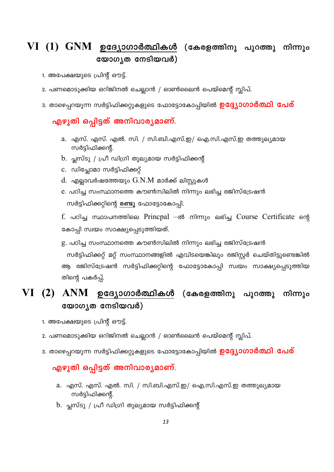## $VI$   $(1)$   $GNM$  ഉദ്ദ്യോഗാർത്ഥികൾ (കേരളത്തിനു പുറത്തു നിന്നും യോഗൃത നേടിയവർ)

- 1. അപേക്ഷയുടെ പ്രിന്റ് ഔട്ട്.
- 2. പണമൊടുക്കിയ ഒറിജിനൽ ചെല്ലാൻ / ഓൺലൈൻ പെയ്മെന്റ് സ്ലിപ്.
- 3. താഴെപ്പറയുന്ന സർട്ടിഫിക്കറ്റുകളുടെ ഫോട്ടോകോപ്പിയിൽ **ഉദ്ദ്യോഗാർത്ഥി പേര്**

#### എഴുതി ഒപ്പിട്ടത് അനിവാര്യമാണ്.

- a. എസ്. എസ്. എൽ. സി. / സി.ബി.എസ്.ഇ/ ഐ.സി.എസ്.ഇ തത്തുല്യമായ സർട്ടിഫിക്കന്റ്.
- b. പ്ലസ്ടു / പ്രീ ഡിഗ്രി തുല്യമായ സർട്ടിഫിക്കന്റ്
- c. ഡിപ്ലോമാ സർട്ടിഫിക്കറ്റ്
- $d.$  എല്ലാവർഷത്തേയും  $G.N.M$  മാർക്ക് ലിസ്റ്റുകൾ
- e. പഠിച്ച സംസ്ഥാനത്തെ കൗൺസിലിൽ നിന്നും ലഭിച്ച രജിസ്ട്രേഷൻ സർട്ടിഫിക്കറ്റിന്റെ <mark>രണ്ടു</mark> ഫോട്ടോകോപ്പി.

f. പഠിച്ച സ്ഥാപനത്തിലെ Princpal –ൽ നിന്നും ലഭിച്ച Course Certificate ന്റെ കോപ്പി സ്വയം സാക്ഷ്യപ്പെടുത്തിയത്.

g. പഠിച്ച സംസ്ഥാനത്തെ കൗൺസിലിൽ നിന്നും ലഭിച്ച രജിസ്ട്രേഷൻ

സർട്ടിഫിക്കറ്റ് മറ്റ് സംസ്ഥാനങ്ങളിൽ എവിടയെങ്കിലും രജിസ്റ്റർ ചെയ്തിട്ടുണ്ടെങ്കിൽ ആ രജിസ്ട്രേഷൻ സർട്ടിഫിക്കറ്റിന്റെ ഫോട്ടോകോപ്പി സ്വയം സാക്ഷ്യപ്പെടുത്തിയ തിന്റെ പകർപ്പ്.

#### VI (2) ANM ഉദ്യോഗാർത്ഥികൾ (കേരളത്തിനു പുറത്തു നിന്നും യോഗൃത നേടിയവർ)

- 1. അപേക്ഷയുടെ പ്രിന്റ് ഔട്ട്.
- 2. പണമൊടുക്കിയ ഒറിജിനൽ ചെല്ലാൻ / ഓൺലൈൻ പെയ്മെന്റ് സ്ലിപ്.
- 3. താഴെപ്പറയുന്ന സർട്ടിഫിക്കറ്റുകളുടെ ഫോട്ടോകോപ്പിയിൽ **ഉദ്ദ്വോഗാർത്ഥി പേര്**

### എഴുതി ഒപ്പിട്ടത് അനിവാര്യമാണ്.

- a. എസ്. എസ്. എൽ. സി. / സി.ബി.എസ്.ഇ/ ഐ.സി.എസ്.ഇ തത്തുല്യമായ സർട്ടിഫിക്കന്റ്.
- $\mathbf b$ . പ്ലസ്ടു / പ്രീ ഡിഗ്രി തുല്യമായ സർട്ടിഫിക്കന്റ്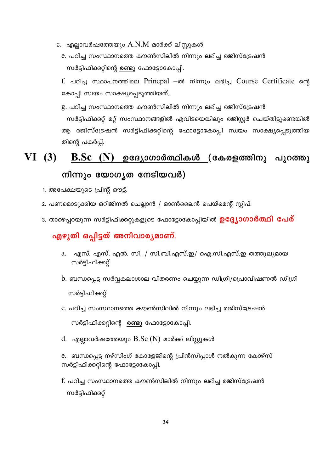- c. എല്ലാവർഷത്തേയും A.N.M മാർക്ക് ലിസ്റ്റുകൾ
	- e. പഠിച്ച സംസ്ഥാനത്തെ കൗൺസിലിൽ നിന്നും ലഭിച്ച രജിസ്ട്രേഷൻ സർട്ടിഫിക്കറ്റിന്റെ <mark>രണ്ടു</mark> ഫോട്ടോകോപ്പി.

f. പഠിച്ച സ്ഥാപനത്തിലെ Princpal –ൽ നിന്നും ലഭിച്ച Course Certificate ന്റെ കോപ്പി സ്വയം സാക്ഷ്യപ്പെടുത്തിയത്.

g. പഠിച്ച സംസ്ഥാനത്തെ കൗൺസിലിൽ നിന്നും ലഭിച്ച രജിസ്ട്രേഷൻ

സർട്ടിഫിക്കറ്റ് മറ്റ് സംസ്ഥാനങ്ങളിൽ എവിടയെങ്കിലും രജിസ്റ്റർ ചെയ്തിട്ടുണ്ടെങ്കിൽ ആ രജിസ്ട്രേഷൻ സർട്ടിഫിക്കറ്റിന്റെ ഫോട്ടോകോപ്പി സ്വയം സാക്ഷ്യപ്പെടുത്തിയ തിന്റെ പകർപ്പ്.

# $VI$   $(3)$   $B.Sc$   $(N)$  ഉദ്യോഗാർത്ഥികൾ (കേരളത്തിനു പുറത്തു നിന്നും യോഗൃത നേടിയവർ)

1. അപേക്ഷയുടെ പ്രിന്റ് ഔട്ട്.

2. പണമൊടുക്കിയ ഒറിജിനൽ ചെല്ലാൻ / ഓൺലൈൻ പെയ്മെന്റ് സ്ലിപ്.

3. താഴെപ്പറയുന്ന സർട്ടിഫിക്കറ്റുകളുടെ ഫോട്ടോകോപ്പിയിൽ **ഉദ്ദ്യോഗാർത്ഥി പേര്** 

### എഴുതി ഒപ്പിട്ടത് അനിവാര്യമാണ്.

- a. എസ്. എസ്. എൽ. സി. / സി.ബി.എസ്.ഇ/ ഐ.സി.എസ്.ഇ തത്തുല്യമായ സർട്ടിഫിക്കറ്റ്
- b. ബന്ധപ്പെട്ട സർവ്വകലാശാല വിതരണം ചെയ്യുന്ന ഡിഗ്രി/പ്രൊവിഷണൽ ഡിഗ്രി സർട്ടിഫിക്കറ്റ്
- c. പഠിച്ച സംസ്ഥാനത്തെ കൗൺസിലിൽ നിന്നും ലഭിച്ച രജിസ്ട്രേഷൻ സർട്ടിഫിക്കറ്റിന്റെ **രണ്ടു** ഫോട്ടോകോപ്പി.
- $d.$  എല്ലാവർഷത്തേയും  $B.Sc(N)$  മാർക്ക് ലിസ്റ്റുകൾ
- e. ബന്ധപ്പെട്ട നഴ്സിംഗ് കോളേജിന്റെ പ്രിൻസിപ്പാൾ നൽകുന്ന കോഴ്സ് സർട്ടിഫിക്കറ്റിന്റെ ഫോട്ടോകോപ്പി.
- .f പഠിച്ച സംസ്ഥാനത്തെ കൗൺസിലിൽ നിന്നും ലഭിച്ച രജിസ്ട്രേഷൻ സർട്ടിഫിക്കറ്റ്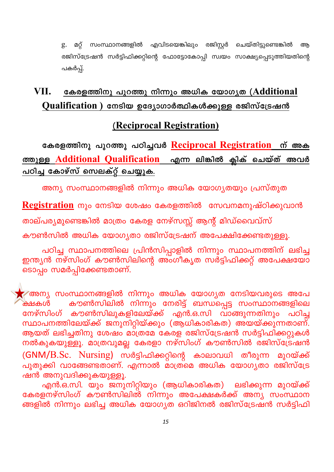മറ്റ് സംസ്ഥാനങ്ങളിൽ എവിടയെങ്കിലും രജിസ്റ്റർ ചെയ്തിട്ടുണ്ടെങ്കിൽ  $g<sub>1</sub>$ അ രജിസ്ട്രേഷൻ സർട്ടിഫിക്കറ്റിന്റെ ഫോട്ടോകോപ്പി സ്വയം സാക്ഷ്യപ്പെടുത്തിയതിന്റെ പകർപ്പ്.

#### VII. കേരളത്തിനു പുറത്തു നിന്നും അധിക യോഗൃത (Additional Qualification) നേടിയ ഉദ്യോഗാർത്ഥികൾക്കുള്ള രജിസ്ട്രേഷൻ

### (Reciprocal Registration)

കേരളത്തിനു പുറത്തു പഠിച്ചവർ Reciprocal Registration ന് അക ത്തുള്ള Additional Qualification എന്ന ലിങ്കിൽ ക്ലിക് ചെയ്ത് അവർ <u>പഠിച്ച കോഴ്സ് സെലക്റ്റ് ചെയ്യുക.</u>

അന്യ സംസ്ഥാനങ്ങളിൽ നിന്നും അധിക യോഗ്യതയും പ്രസ്തുത

Registration നും നേടിയ ശേഷം കേരളത്തിൽ സേവനമനുഷ്ഠിക്കുവാൻ താല്പര്യമുണ്ടെങ്കിൽ മാത്രം കേരള നേഴ്സസ്സ് ആന്റ് മിഡ്വൈവ്സ് കൗൺസിൽ അധിക യോഗ്യതാ രജിസ്ട്രേഷന് അപേക്ഷിക്കേണ്ടതുള്ളൂ.

പഠിച്ച സ്ഥാപനത്തിലെ പ്രിൻസിപ്പാളിൽ നിന്നും സ്ഥാപനത്തിന് ലഭിച്ച ഇന്ത്യൻ നഴ്സിംഗ് കൗൺസിലിന്റെ അംഗീകൃത സർട്ടിഫിക്കറ്റ് അപേക്ഷയോ ടൊപ്പം സമർപ്പിക്കേണ്ടതാണ്.

 $\blacktriangledown$ അന്യ സംസ്ഥാനങ്ങളിൽ നിന്നും അധിക യോഗ്യത നേടിയവരുടെ അപേ കൗൺസിലിൽ നിന്നും നേരിട്ട് ബന്ധപ്പെട്ട സംസ്ഥാനങ്ങളിലെ ക്ഷകൾ നേഴ്സിംഗ് കൗൺസിലുകളിലേയ്ക്ക് എൻ.ഒ.സി വാങ്ങുന്നതിനും പഠിച്ച സ്ഥാപനത്തിലേയ്ക്ക് ജനുനിറ്റിയ്ക്കും (ആധികാരികത) അയയ്ക്കുന്നതാണ്. ആയത് ലഭിച്ചതിനു ശേഷം മാത്രമേ കേരള രജിസ്ട്രേഷൻ സർട്ടിഫിക്കറ്റുകൾ നൽകുകയുള്ളൂ. മാത്രവുമല്ല കേരളാ നഴ്സിംഗ് കൗൺസിൽ രജിസ്ട്രേഷൻ (GNM/B.Sc. Nursing) സർട്ടിഫിക്കറ്റിന്റെ കാലാവധി തീരുന്ന മൂറയ്ക്ക് പുതുക്കി വാങ്ങേണ്ടതാണ്. എന്നാൽ മാത്രമെ അധിക യോഗൃതാ രജിസ്ട്രേ ഷൻ അനുവദിക്കുകയുള്ളൂ.

എൻ.ഒ.സി. യും ജനുനിറ്റിയും (ആധികാരികത) ലഭിക്കുന്ന മുറയ്ക്ക് കേരളനഴ്സിംഗ് കൗൺസിലിൽ നിന്നും അപേക്ഷകർക്ക് അനു സംസ്ഥാന ങ്ങളിൽ നിന്നും ലഭിച്ച അധിക യോഗ്യത ഒറിജിനൽ രജിസ്ട്രേഷൻ സർട്ടിഫി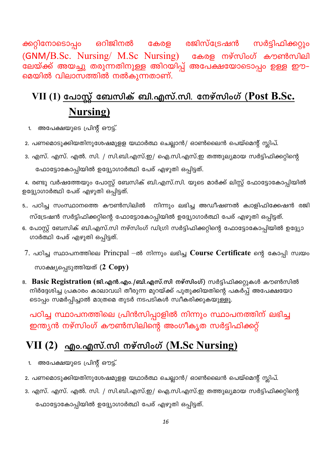ക്കറ്റിനോടൊപ്പം ഒറിജിനൽ സർട്ടിഫിക്കറ്റും രജിസ്ട്രേഷൻ കേരള (GNM/B.Sc. Nursing/ M.Sc Nursing) കേരള നഴ്സിംഗ് കൗൺസിലി ലേയ്ക്ക് അയച്ചു തരുന്നതിനുള്ള അിറയിപ്പ് അപേക്ഷയോടൊപ്പം ഉള്ള ഈ– മെയിൽ വിലാസത്തിൽ നൽകുന്നതാണ്.

# VII (1) പോസ്റ്റ് ബേസിക് ബി.എസ്.സി. നേഴ്സിംഗ് (Post B.Sc. **Nursing**)

അപേക്ഷയുടെ പ്രിന്റ് ഔട്ട്.  $\mathbf{1}$ 

- 2. പണമൊടുക്കിയതിനുശേഷമുളള യഥാർത്ഥ ചെല്ലാൻ/ ഓൺലൈൻ പെയ്മെന്റ് സ്ലിപ്.
- 3. എസ്. എസ്. എൽ. സി. / സി.ബി.എസ്.ഇ/ ഐ.സി.എസ്.ഇ തത്തുല്യമായ സർട്ടിഫിക്കറ്റിന്റെ ഫോട്ടോകോപ്പിയിൽ ഉദ്ദ്യോഗാർത്ഥി പേര് എഴുതി ഒപ്പിട്ടത്.

4. രണ്ടു വർഷത്തേയും പോസ്റ്റ് ബേസിക് ബി.എസ്.സി. യുടെ മാർക്ക് ലിസ്റ്റ് ഫോട്ടോകോപ്പിയിൽ ഉദ്ദ്യോഗാർത്ഥി പേര് എഴുതി ഒപ്പിട്ടത്.

- 5.. പഠിച്ച സംസ്ഥാനത്തെ കൗൺസിലിൽ നിന്നും ലഭിച്ച അഡീഷണൽ ക്വാളിഫിക്കേഷൻ രജി സ്ട്രേഷൻ സർട്ടിഫിക്കറ്റിന്റെ ഫോട്ടോകോപ്പിയിൽ ഉദ്ദ്യോഗാർത്ഥി പേര് എഴുതി ഒപ്പിട്ടത്.
- 6. പോസ്റ്റ് ബേസിക് ബി.എസ്.സി നഴ്സിംഗ് ഡിഗ്രി സർട്ടിഫിക്കറ്റിന്റെ ഫോട്ടോകോപ്പിയിൽ ഉദ്ദ്യോ ഗാർത്ഥി പേര് എഴുതി ഒപ്പിട്ടത്.
- $7$ . പഠിച്ച സ്ഥാപനത്തിലെ  $\Pr$ in ${\rm c}\mathrm{pal}$   $-$ ൽ നിന്നും ലഭിച്ച  ${\rm \bf Course ~Certi}$ ficate ന്റെ കോപ്പി സ്വയം സാക്ഷ്യപ്പെടുത്തിയത് (2  $Copy$ )
- 8. Basic Registration (ജി.എൻ.എം./ബി.എസ്.സി നഴ്സിംഗ്) സർട്ടിഫിക്കറ്റുകൾ കൗൺസിൽ നിർദ്ദേശിച്ച പ്രകാരം കാലാവധി തീരുന്ന മുറയ്ക്ക് പുതുക്കിയതിന്റെ പകർപ്പ് അപേക്ഷയോ ടൊപ്പം സമർപ്പിച്ചാൽ മാത്രമെ തുടർ നടപടികൾ സ്വീകരിക്കുകയുള്ളൂ.

പഠിച്ച സ്ഥാപനത്തിലെ പ്രിൻസിപ്പാളിൽ നിന്നും സ്ഥാപനത്തിന് ലഭിച്ച ഇന്ത്യൻ നഴ്സിംഗ് കൗൺസിലിന്റെ അംഗീകൃത സർട്ടിഫിക്കറ്റ്

## VII (2) എം.എസ്.സി നഴ്സിംഗ് (M.Sc Nursing)

- അപേക്ഷയുടെ പ്രിന്റ് ഔട്ട്. 1.
- 2. പണമൊടുക്കിയതിനുശേഷമുളള യഥാർത്ഥ ചെല്ലാൻ/ ഓൺലൈൻ പെയ്മെന്റ് സ്ലിപ്.
- 3. എസ്. എസ്. എൽ. സി. / സി.ബി.എസ്.ഇ/ ഐ.സി.എസ്.ഇ തത്തുല്യമായ സർട്ടിഫിക്കറ്റിന്റെ ഫോട്ടോകോപ്പിയിൽ ഉദ്ദ്യോഗാർത്ഥി പേര് എഴുതി ഒപ്പിട്ടത്.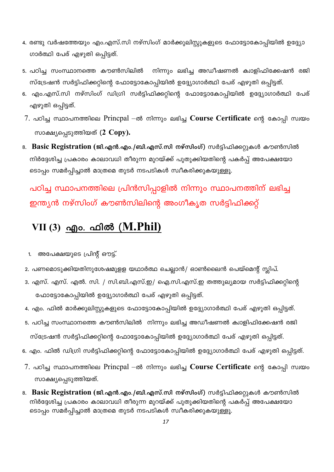- 4. രണ്ടു വർഷത്തേയും എം.എസ്.സി നഴ്സിംഗ് മാർക്കുലിസ്റ്റുകളുടെ ഫോട്ടോകോപ്പിയിൽ ഉദ്ദ്യോ ഗാർത്ഥി പേര് എഴുതി ഒപ്പിട്ടത്.
- 5. പഠിച്ച സംസ്ഥാനത്തെ കൗൺസിലിൽ നിന്നും ലഭിച്ച അഡീഷണൽ ക്വാളിഫിക്കേഷൻ രജി സ്ട്രേഷൻ സർട്ടിഫിക്കറ്റിന്റെ ഫോട്ടോകോപ്പിയിൽ ഉദ്ദ്യോഗാർത്ഥി പേര് എഴുതി ഒപ്പിട്ടത്.
- 6. എം.എസ്.സി നഴ്സിംഗ് ഡിഗ്രി സർട്ടിഫിക്കറ്റിന്റെ ഫോട്ടോകോപ്പിയിൽ ഉദ്ദ്യോഗാർത്ഥി പേര് എഴുതി ഒപ്പിട്ടത്.
- 7. പഠിച്ച സ്ഥാപനത്തിലെ Princpal –ൽ നിന്നും ലഭിച്ച Course Certificate ന്റെ കോപ്പി സ്വയം സാക്ഷ്യപ്പെടുത്തിയത് (2 Copy).
- 8. Basic Registration (ജി.എൻ.എം./ബി.എസ്.സി നഴ്സിംഗ്) സർട്ടിഫിക്കറ്റുകൾ കൗൺസിൽ നിർദ്ദേശിച്ച പ്രകാരം കാലാവധി തീരുന്ന മുറയ്ക്ക് പുതുക്കിയതിന്റെ പകർപ്പ് അപേക്ഷയോ ടൊപ്പം സമർപ്പിച്ചാൽ മാത്രമെ തുടർ നടപടികൾ സ്വീകരിക്കുകയുള്ളൂ.

പഠിച്ച സ്ഥാപനത്തിലെ പ്രിൻസിപ്പാളിൽ നിന്നും സ്ഥാപനത്തിന് ലഭിച്ച ഇന്ത്യൻ നഴ്സിംഗ് കൗൺസിലിന്റെ അംഗീകൃത സർട്ടിഫിക്കറ്റ്

## VII (3) എം. ഫിൽ (M.Phil)

- 1. അപേക്ഷയുടെ പ്രിന്റ് ഔട്ട്.
- 2. പണമൊടുക്കിയതിനുശേഷമുളള യഥാർത്ഥ ചെല്ലാൻ/ ഓൺലൈൻ പെയ്മെന്റ് സ്ലിപ്.
- 3. എസ്. എസ്. എൽ. സി. / സി.ബി.എസ്.ഇ/ ഐ.സി.എസ്.ഇ തത്തുല്യമായ സർട്ടിഫിക്കറ്റിന്റെ ഫോട്ടോകോപ്പിയിൽ ഉദ്ദ്യോഗാർത്ഥി പേര് എഴുതി ഒപ്പിട്ടത്.
- 4. എം. ഫിൽ മാർക്കുലിസ്റ്റുകളുടെ ഫോട്ടോകോപ്പിയിൽ ഉദ്ദ്യോഗാർത്ഥി പേര് എഴുതി ഒപ്പിട്ടത്.
- 5. പഠിച്ച സംസ്ഥാനത്തെ കൗൺസിലിൽ നിന്നും ലഭിച്ച അഡീഷണൽ ക്വാളിഫിക്കേഷൻ രജി സ്ട്രേഷൻ സർട്ടിഫിക്കറ്റിന്റെ ഫോട്ടോകോപ്പിയിൽ ഉദ്ദ്യോഗാർത്ഥി പേര് എഴുതി ഒപ്പിട്ടത്.
- 6. എം. ഫിൽ ഡിഗ്രി സർട്ടിഫിക്കറ്റിന്റെ ഫോട്ടോകോപ്പിയിൽ ഉദ്ദ്യോഗാർത്ഥി പേര് എഴുതി ഒപ്പിട്ടത്.
- 7. പഠിച്ച സ്ഥാപനത്തിലെ Princpal –ൽ നിന്നും ലഭിച്ച Course Certificate ന്റെ കോപ്പി സ്വയം സാക്ഷ്യപ്പെടുത്തിയത്.
- 8. Basic Registration (ജി.എൻ.എം./ബി.എസ്.സി നഴ്സിംഗ്) സർട്ടിഫിക്കറ്റുകൾ കൗൺസിൽ നിർദ്ദേശിച്ച പ്രകാരം കാലാവധി തീരുന്ന മുറയ്ക്ക് പുതുക്കിയതിന്റെ പകർപ്പ് അപേക്ഷയോ ടൊപ്പം സമർപ്പിച്ചാൽ മാത്രമെ തുടർ നടപടികൾ സ്വീകരിക്കുകയുള്ളൂ.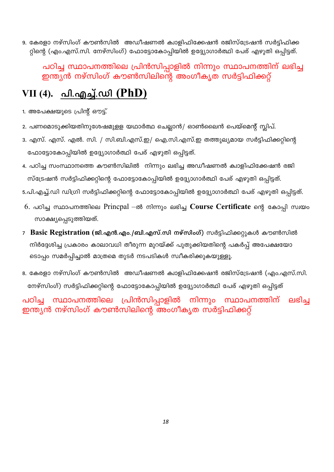9. കേരളാ നഴ്സിംഗ് കൗൺസിൽ അഡീഷണൽ ക്വാളിഫിക്കേഷൻ രജിസ്ട്രേഷൻ സർട്ടിഫിക്ക റ്റിന്റെ (എം.എസ്.സി. നേഴ്സിംഗ്) ഫോട്ടോകോപ്പിയിൽ ഉദ്ദ്യോഗാർത്ഥി പേര് എഴുതി ഒപ്പിട്ടത്.

പഠിച്ച സ്ഥാപനത്തിലെ പ്രിൻസിപ്പാളിൽ നിന്നും സ്ഥാപനത്തിന് ലഭിച്ച ഇന്ത്യൻ നഴ്സിംഗ് കൗൺസിലിന്റെ അംഗീകൃത സർട്ടിഫിക്കറ്റ്

## $VII$  (4). പി.എച്ച്.ഡി ( $PhD$ )

1. അപേക്ഷയുടെ പ്രിന്റ് ഔട്ട്.

- 2. പണമൊടുക്കിയതിനുശേഷമുളള യഥാർത്ഥ ചെല്ലാൻ/ ഓൺലൈൻ പെയ്മെന്റ് സ്ലിപ്.
- 3. എസ്. എസ്. എൽ. സി. / സി.ബി.എസ്.ഇ/ ഐ.സി.എസ്.ഇ തത്തുല്യമായ സർട്ടിഫിക്കറ്റിന്റെ ഫോട്ടോകോപ്പിയിൽ ഉദ്ദ്യോഗാർത്ഥി പേര് എഴുതി ഒപ്പിട്ടത്.
- 4. പഠിച്ച സംസ്ഥാനത്തെ കൗൺസിലിൽ നിന്നും ലഭിച്ച അഡീഷണൽ ക്വാളിഫിക്കേഷൻ രജി സ്ട്രേഷൻ സർട്ടിഫിക്കറ്റിന്റെ ഫോട്ടോകോപ്പിയിൽ ഉദ്ദ്യോഗാർത്ഥി പേര് എഴുതി ഒപ്പിട്ടത്.

5.പി.എച്ച്.ഡി ഡിഗ്രി സർട്ടിഫിക്കറ്റിന്റെ ഫോട്ടോകോപ്പിയിൽ ഉദ്ദ്യോഗാർത്ഥി പേര് എഴുതി ഒപ്പിട്ടത്.

- 6. പഠിച്ച സ്ഥാപനത്തിലെ Princpal  $-\infty$  നിന്നും ലഭിച്ച Course Certificate ന്റെ കോപ്പി സ്വയം സാക്ഷ്യപ്പെടുത്തിയത്.
- 7 Basic Registration (ജി.എൻ.എം./ബി.എസ്.സി നഴ്സിംഗ്) സർട്ടിഫിക്കറ്റുകൾ കൗൺസിൽ നിർദ്ദേശിച്ച പ്രകാരം കാലാവധി തീരുന്ന മുറയ്ക്ക് പുതുക്കിയതിന്റെ പകർപ്പ് അപേക്ഷയോ ടൊപ്പം സമർപ്പിച്ചാൽ മാത്രമെ തുടർ നടപടികൾ സ്വീകരിക്കുകയുള്ളൂ.
- 8. കേരളാ നഴ്സിംഗ് കൗൺസിൽ അഡീഷണൽ ക്വാളിഫിക്കേഷൻ രജിസ്ട്രേഷൻ (എം.എസ്.സി. നേഴ്സിംഗ്) സർട്ടിഫിക്കറ്റിന്റെ ഫോട്ടോകോപ്പിയിൽ ഉദ്ദ്യോഗാർത്ഥി പേര് എഴുതി ഒപ്പിട്ടത്

പഠിച്ച സ്ഥാപനത്തിലെ പ്രിൻസിപ്പാളിൽ നിന്നും സ്ഥാപനത്തിന് ലഭിച്ച ഇന്ത്യൻ നഴ്സിംഗ് കൗൺസിലിന്റെ അംഗീകൃത സർട്ടിഫിക്കറ്റ്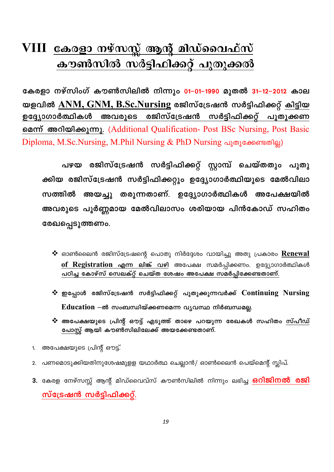# <u>VIII കേരളാ നഴ്സസ്സ് ആന്റ് മിഡ്വൈഫ്സ്</u> കൗൺസിൽ സർട്ടിഫിക്കറ്റ് പുതുക്കൽ

കേരളാ നഴ്സിംഗ് കൗൺസിലിൽ നിന്നും 01–01–1990 മുതൽ 31–12–2012 കാല യളവിൽ  $\overline{\mathrm{ANM}}$ ,  $\overline{\mathrm{GNM}}$ ,  $\overline{\mathrm{B}.\mathrm{Sc}.\mathrm{Nursing}}$  രജിസ്ട്രേഷൻ സർട്ടിഫിക്കറ്റ് കിട്ടിയ അവരുടെ രജിസ്ട്രേ<u>ഷൻ സർട്ടിഫിക്കറ്റ് പുതുക്കണ</u> ഉദ്യോഗാർത്ഥികൾ pam எல்லியிக்கல் (Additional Qualification- Post BSc Nursing, Post Basic Diploma, M.Sc.Nursing, M.Phil Nursing & PhD Nursing வுறைக்கை விது)

പഴയ രജിസ്ട്രേഷൻ സർട്ടിഫിക്കറ്റ് സ്റ്റാമ്പ് ചെയ്തതും പുതു ക്കിയ രജിസ്ട്രേഷൻ സർട്ടിഫിക്കറ്റും ഉദ്ദ്യോഗാർത്ഥിയുടെ മേൽവിലാ സത്തിൽ അയച്ചു തരുന്നതാണ്. ഉദ്ദ്യോഗാർത്ഥികൾ അപേക്ഷയിൽ അവരുടെ പൂർണ്ണമായ മേൽവിലാസം ശരിയായ പിൻകോഡ് സഹിതം രേഖപ്പെടുത്തണം.

- $\boldsymbol{\hat{\mathbf{\hat{x}}}}$  ഓൺലൈൻ രജിസ്ട്രേഷന്റെ പൊതു നിർദ്ദേശം വായിച്ചു അതു പ്രകാരം  $\boldsymbol{\text{Renewal}}$ of Registration എന്ന ലിങ്ക് വഴി അപേക്ഷ സമർപ്പിക്കണം. ഉദ്ദ്യോഗാർത്ഥികൾ പഠിച്ച കോഴ്സ് സെലക്റ്റ് ചെയ്ത ശേഷം അപേക്ഷ സമർപ്പിക്കേണ്ടതാണ്.
- $\boldsymbol{\hat{*}}$  ഇപ്പോൾ രജിസ്ട്രേഷൻ സർട്ടിഫിക്കറ്റ് പുതുക്കുന്നവർക്ക്  $\boldsymbol{\text{Continuing}}$   $\boldsymbol{\text{Nursing}}$ Education  $-\infty$  സംബന്ധിയ്ക്കണമെന്ന വൃവസ്ഥ നിർബന്ധമല്ല.
- $\boldsymbol{\cdot\!}\boldsymbol{\cdot}$  അപേക്ഷയുടെ പ്രിന്റ് ഔട്ട് എടുത്ത് താഴെ പറയുന്ന രേഖകൾ സഹിതം സ്പീഡ് പോസ്പ് ആയി കൗൺസിലിലേക്ക് അയക്കേണ്ടതാണ്.
- 1. അപേക്ഷയുടെ പ്രിന്റ് ഔട്ട്.
- 2. പണമൊടുക്കിയതിനുശേഷമുളള യഥാർത്ഥ ചെല്ലാൻ/ ഓൺലൈൻ പെയ്മെന്റ് സ്ലിപ്.
- 3. കേരള നേഴ്സസ്സ് ആന്റ് മിഡ്വൈവ്സ് കൗൺസിലിൽ നിന്നും ലഭിച്ച ഒറിജിനൽ രജി സ്ട്രേഷൻ സർട്ടിഫിക്കറ്റ്.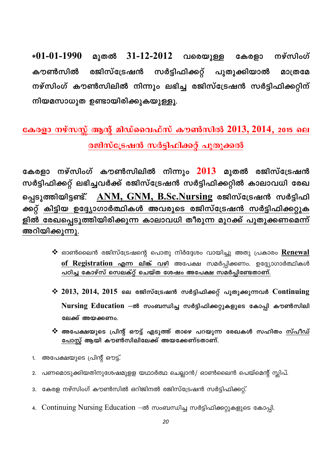$*01$ - $01$ - $1990$  മുതൽ  $31$ - $12$ - $2012$  വരെയുള്ള കേരളാ നഴ്സിംഗ് കൗൺസിൽ രജിസ്ട്രേഷൻ സർട്ടിഫിക്കറ്റ് പുതുക്കിയാൽ മാത്രമേ നഴ്സിംഗ് കൗൺസിലിൽ നിന്നും ലഭിച്ച രജിസ്ട്രേഷൻ സർട്ടിഫിക്കറ്റിന് നിയമസാധൂത ഉണ്ടായിരിക്കുകയുള്ളൂ.

# <u>കേരളാ നഴ്സസ്സ് ആന്റ് മിഡ്വൈഫ്സ് കൗൺസിൽ 2013, 2014,</u> 2015 ലെ രജിസ്ട്രേഷൻ സർട്ടിഫിക്കറ്റ് പുതുക്കൽ

കേരളാ നഴ്സിംഗ് കൗൺസിലിൽ നിന്നും  $2013$  മുതൽ രജിസ്ട്രേഷൻ സർട്ടിഫിക്കറ്റ് ലഭിച്ചവർക്ക് രജിസ്ട്രേഷൻ സർട്ടിഫിക്കറ്റിൽ കാലാവധി രേഖ പ്പെടുത്തിയിട്ടണ്ട്.  $\;$   $\bf ANM, \;GNM, \; B. Sc.Nursing \;$ രജിസ്ട്രേഷൻ സർട്ടിഫി <u>ക്കറ്റ് കിട്ടിയ ഉദ്ദ്യോഗാർത്ഥികൾ അവരുടെ രജിസ്ട്രേഷൻ സർട്ടിഫിക്കറ്റുക</u> ളിൽ രേഖപ്പെടുത്തിയിരിക്കുന്ന കാലാവധി തീരുന്ന മുറക്ക് പുതുക്കണമെന്ന് അറിയിക്കുന്നു.

- $\bm{\cdot}$  ഓൺലൈൻ രജിസ്ട്രേഷന്റെ പൊതു നിർദ്ദേശം വായിച്ചു അതു പ്രകാരം  $\textbf{Renewal}$ of Registration എന്ന ലിങ്ക് വഴി അപേക്ഷ സമർപ്പിക്കണം. ഉദ്ദ്യോഗാർത്ഥികൾ പഠിച്ച കോഴ്സ് സെലക്റ്റ് ചെയ്ത ശേഷം അപേക്ഷ സമർപ്പിണ്ടേതാണ്.
- $\div$  2013, 2014, 2015 ലെ രജിസ്ട്രേഷൻ സർട്ടിഫിക്കറ്റ് പുതുക്കുന്നവർ  $\text{Continuing}$  $Nursing Education -<sub>o</sub>$ ൽ സംബന്ധിച്ച സർട്ടിഫിക്കറ്റുകളുടെ കോപ്പി കൗൺസിലി ലേക്ക് അയക്കണം.
- ❖ അപേക്ഷയുടെ പ്രിന്റ് ഔട്ട് എടുത്ത് താഴെ പറയുന്ന രേഖകൾ സഹിതം <u>സ്പീഡ്</u> പോസ്റ്റ് ആയി കൗൺസിലിലേക്ക് അയക്കേണ്ടതാണ്.
- 1. അപേക്ഷയുടെ പ്രിന്റ് ഔട്ട്.
- 2. പണമൊടുക്കിയതിനുശേഷമുളള യഥാർത്ഥ ചെല്ലാൻ/ ഓൺലൈൻ പെയ്മെന്റ് സ്ലിപ്.
- 3. കേരള നഴ്സിംഗ് കൗൺസിൽ ഒറിജിനൽ രജിസ്ട്രേഷൻ സർട്ടിഫിക്കറ്റ്.
- 4. Continuing Nursing Education –ൽ സംബന്ധിച്ച സർട്ടിഫിക്കറ്റുകളുടെ കോപ്പി.